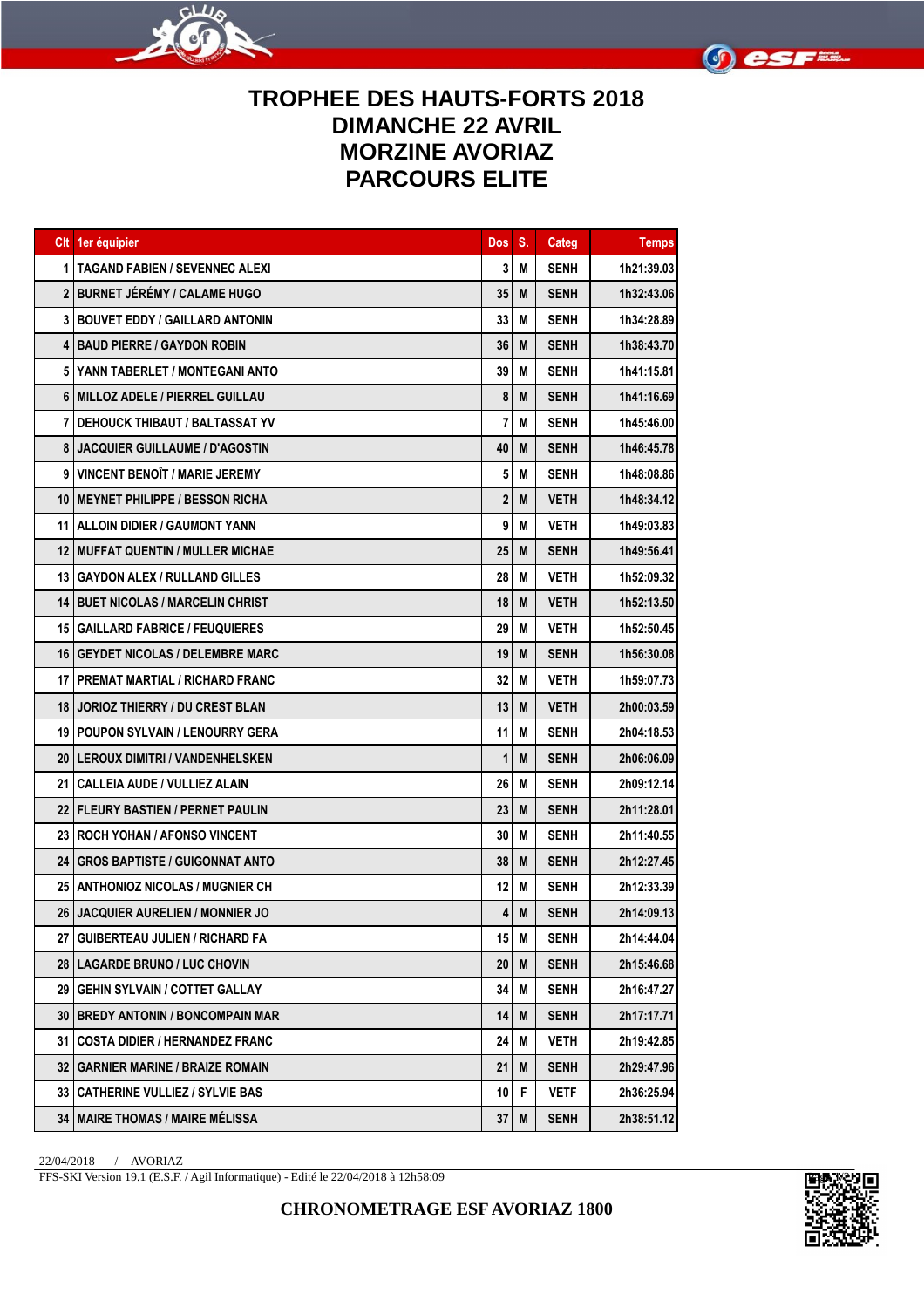



## **TROPHEE DES HAUTS-FORTS 2018 DIMANCHE 22 AVRIL MORZINE AVORIAZ PARCOURS ELITE**

|    | Clt 1er équipier                           | <b>Dos</b>      | S. | Categ       | <b>Temps</b> |
|----|--------------------------------------------|-----------------|----|-------------|--------------|
| 1  | <b>TAGAND FABIEN / SEVENNEC ALEXI</b>      | 3               | M  | <b>SENH</b> | 1h21:39.03   |
|    | 2 BURNET JÉRÉMY / CALAME HUGO              | 35              | M  | <b>SENH</b> | 1h32:43.06   |
|    | <b>3 I BOUVET EDDY / GAILLARD ANTONIN</b>  | 33              | M  | <b>SENH</b> | 1h34:28.89   |
| 4  | <b>IBAUD PIERRE / GAYDON ROBIN</b>         | 36              | M  | <b>SENH</b> | 1h38:43.70   |
| 5  | <b>YANN TABERLET / MONTEGANI ANTO</b>      | 39              | M  | <b>SENH</b> | 1h41:15.81   |
| 6  | MILLOZ ADELE / PIERREL GUILLAU             | 8               | M  | <b>SENH</b> | 1h41:16.69   |
|    | <b>7 I DEHOUCK THIBAUT / BALTASSAT YV</b>  | 7               | M  | <b>SENH</b> | 1h45:46.00   |
| 8  | <b>JACQUIER GUILLAUME / D'AGOSTIN</b>      | 40              | M  | <b>SENH</b> | 1h46:45.78   |
| 9  | <b>VINCENT BENOIT / MARIE JEREMY</b>       | 5               | M  | <b>SENH</b> | 1h48:08.86   |
| 10 | <b>IMEYNET PHILIPPE / BESSON RICHA</b>     | 2               | M  | <b>VETH</b> | 1h48:34.12   |
| 11 | <b>IALLOIN DIDIER / GAUMONT YANN</b>       | 9               | M  | <b>VETH</b> | 1h49:03.83   |
|    | 12 MUFFAT QUENTIN / MULLER MICHAE          | 25              | M  | <b>SENH</b> | 1h49:56.41   |
|    | 13 GAYDON ALEX / RULLAND GILLES            | 28              | M  | <b>VETH</b> | 1h52:09.32   |
|    | <b>14 BUET NICOLAS / MARCELIN CHRIST</b>   | 18              | M  | <b>VETH</b> | 1h52:13.50   |
|    | 15   GAILLARD FABRICE / FEUQUIERES         | 29              | M  | <b>VETH</b> | 1h52:50.45   |
|    | <b>16 GEYDET NICOLAS / DELEMBRE MARC</b>   | 19              | M  | <b>SENH</b> | 1h56:30.08   |
|    | 17 I PREMAT MARTIAL / RICHARD FRANC        | 32              | M  | <b>VETH</b> | 1h59:07.73   |
| 18 | <b>JORIOZ THIERRY / DU CREST BLAN</b>      | 13              | M  | <b>VETH</b> | 2h00:03.59   |
|    | <b>19 POUPON SYLVAIN / LENOURRY GERA</b>   | 11              | M  | <b>SENH</b> | 2h04:18.53   |
|    | <b>20 ILEROUX DIMITRI / VANDENHELSKEN</b>  | 1               | M  | <b>SENH</b> | 2h06:06.09   |
|    | 21 CALLEIA AUDE / VULLIEZ ALAIN            | 26              | M  | <b>SENH</b> | 2h09:12.14   |
|    | <b>22   FLEURY BASTIEN / PERNET PAULIN</b> | 23              | M  | <b>SENH</b> | 2h11:28.01   |
|    | 23 ROCH YOHAN / AFONSO VINCENT             | 30              | M  | <b>SENH</b> | 2h11:40.55   |
|    | 24 GROS BAPTISTE / GUIGONNAT ANTO          | 38              | M  | <b>SENH</b> | 2h12:27.45   |
|    | 25 ANTHONIOZ NICOLAS / MUGNIER CH          | 12              | M  | <b>SENH</b> | 2h12:33.39   |
|    | 26 JACQUIER AURELIEN / MONNIER JO          | 4               | M  | <b>SENH</b> | 2h14:09.13   |
|    | 27   GUIBERTEAU JULIEN / RICHARD FA        | 15 <sup>1</sup> | M  | <b>SENH</b> | 2h14:44.04   |
|    | 28   LAGARDE BRUNO / LUC CHOVIN            | 20              | M  | <b>SENH</b> | 2h15:46.68   |
|    | 29 GEHIN SYLVAIN / COTTET GALLAY           | 34              | M  | <b>SENH</b> | 2h16:47.27   |
|    | 30   BREDY ANTONIN / BONCOMPAIN MAR        | 14              | M  | <b>SENH</b> | 2h17:17.71   |
|    | 31 COSTA DIDIER / HERNANDEZ FRANC          | 24              | M  | <b>VETH</b> | 2h19:42.85   |
|    | <b>32   GARNIER MARINE / BRAIZE ROMAIN</b> | 21              | M  | <b>SENH</b> | 2h29:47.96   |
|    | <b>33   CATHERINE VULLIEZ / SYLVIE BAS</b> | 10              | F  | <b>VETF</b> | 2h36:25.94   |
|    | 34   MAIRE THOMAS / MAIRE MÉLISSA          | 37              | M  | <b>SENH</b> | 2h38:51.12   |

22/04/2018 / AVORIAZ

FFS-SKI Version 19.1 (E.S.F. / Agil Informatique) - Edité le 22/04/2018 à 12h58:09

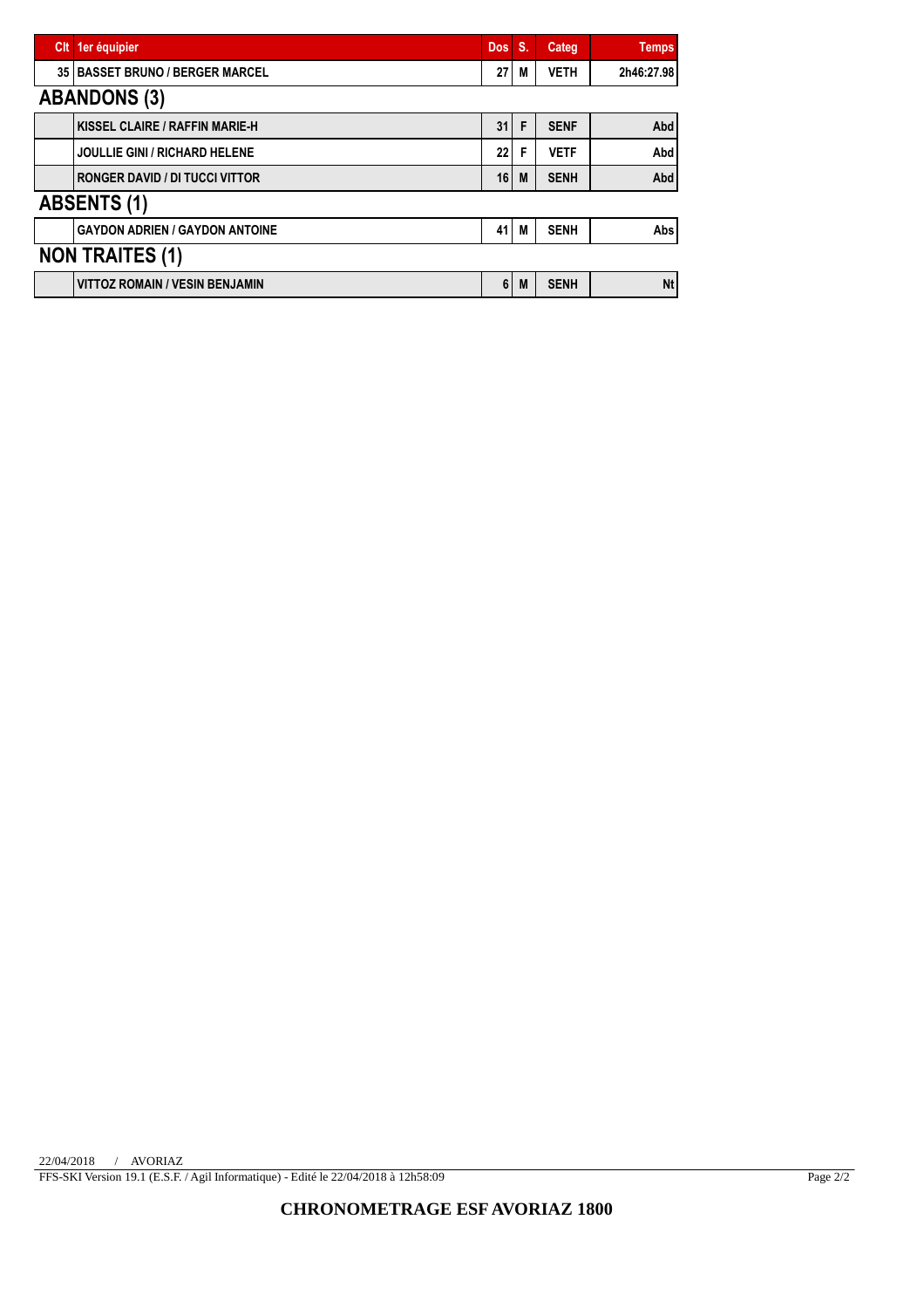| CIt                    | 1er équipier                          | <b>Dos</b> | <b>S.</b> | <b>Categ</b> | <b>Temps</b> |  |  |
|------------------------|---------------------------------------|------------|-----------|--------------|--------------|--|--|
| 35                     | <b>BASSET BRUNO / BERGER MARCEL</b>   | 27         | M         | <b>VETH</b>  | 2h46:27.98   |  |  |
|                        | <b>ABANDONS (3)</b>                   |            |           |              |              |  |  |
|                        | KISSEL CLAIRE / RAFFIN MARIE-H        | 31         | F         | <b>SENF</b>  | Abd          |  |  |
|                        | <b>JOULLIE GINI / RICHARD HELENE</b>  | 22         | F         | <b>VETF</b>  | Abd          |  |  |
|                        | <b>RONGER DAVID / DI TUCCI VITTOR</b> | 16         | M         | <b>SENH</b>  | Abd          |  |  |
| <b>ABSENTS (1)</b>     |                                       |            |           |              |              |  |  |
|                        | <b>GAYDON ADRIEN / GAYDON ANTOINE</b> | 41         | M         | <b>SENH</b>  | Abs          |  |  |
| <b>NON TRAITES (1)</b> |                                       |            |           |              |              |  |  |
|                        | <b>VITTOZ ROMAIN / VESIN BENJAMIN</b> | 6          | M         | <b>SENH</b>  | <b>Nt</b>    |  |  |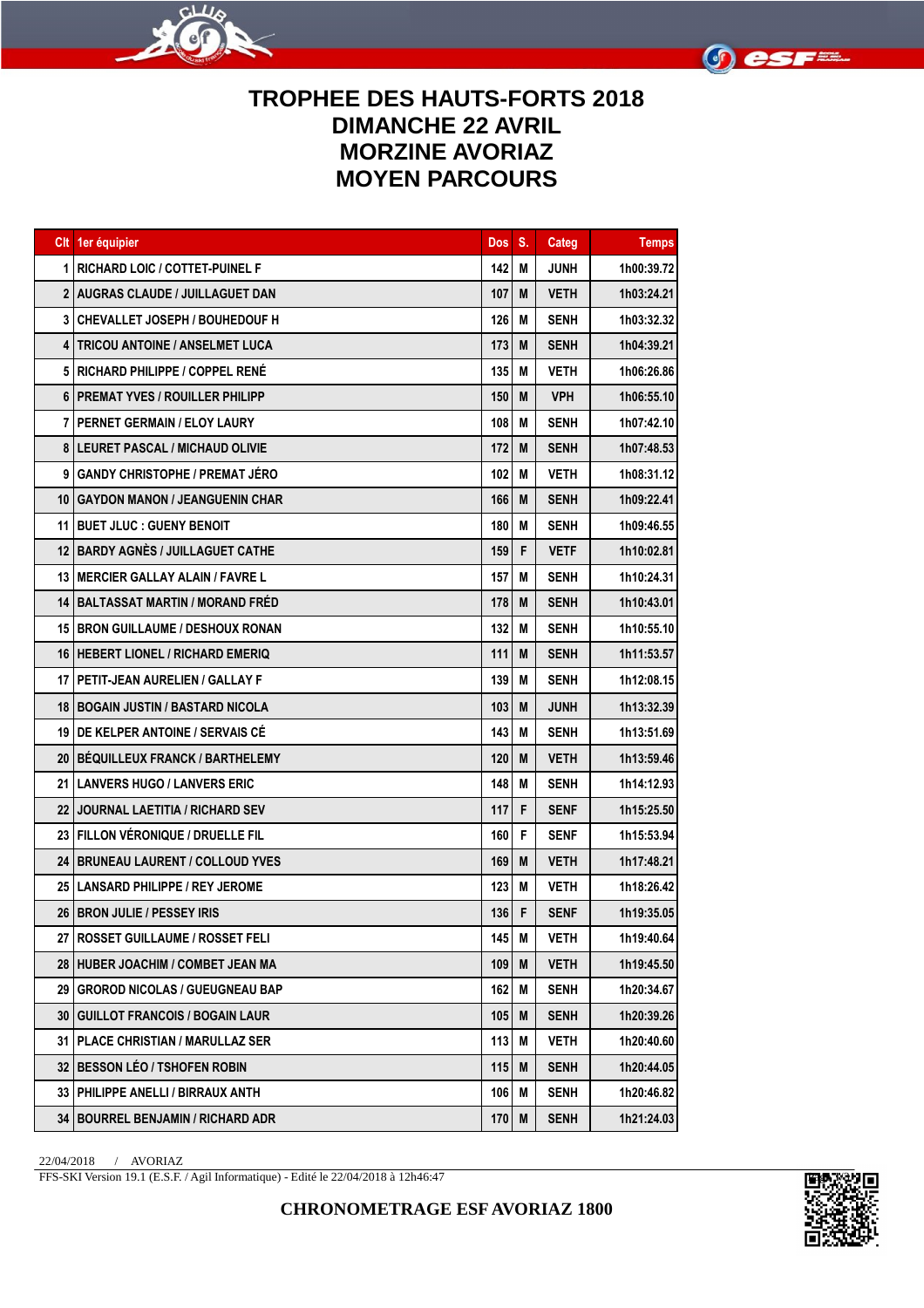



## **TROPHEE DES HAUTS-FORTS 2018 DIMANCHE 22 AVRIL MORZINE AVORIAZ MOYEN PARCOURS**

|    | CIt 1er équipier                          | <b>Dos</b> | S. | Categ       | <b>Temps</b> |
|----|-------------------------------------------|------------|----|-------------|--------------|
| 1  | <b>RICHARD LOIC / COTTET-PUINEL F</b>     | 142        | M  | <b>JUNH</b> | 1h00:39.72   |
|    | <b>2   AUGRAS CLAUDE / JUILLAGUET DAN</b> | 107        | M  | VETH        | 1h03:24.21   |
|    | <b>3   CHEVALLET JOSEPH / BOUHEDOUF H</b> | 126        | M  | <b>SENH</b> | 1h03:32.32   |
| 4  | <b>TRICOU ANTOINE / ANSELMET LUCA</b>     | 173        | M  | <b>SENH</b> | 1h04:39.21   |
|    | 5 RICHARD PHILIPPE / COPPEL RENÉ          | 135        | M  | <b>VETH</b> | 1h06:26.86   |
| 6  | <b>I PREMAT YVES / ROUILLER PHILIPP</b>   | 150        | M  | <b>VPH</b>  | 1h06:55.10   |
| 7  | <b>I PERNET GERMAIN / ELOY LAURY</b>      | 108        | M  | <b>SENH</b> | 1h07:42.10   |
|    | <b>8 LEURET PASCAL / MICHAUD OLIVIE</b>   | 172        | M  | <b>SENH</b> | 1h07:48.53   |
|    | 9 GANDY CHRISTOPHE / PREMAT JÉRO          | 102        | M  | <b>VETH</b> | 1h08:31.12   |
| 10 | <b>GAYDON MANON / JEANGUENIN CHAR</b>     | 166        | M  | <b>SENH</b> | 1h09:22.41   |
| 11 | <b>IBUET JLUC : GUENY BENOIT</b>          | 180        | M  | <b>SENH</b> | 1h09:46.55   |
|    | 12 BARDY AGNÈS / JUILLAGUET CATHE         | 159        | F  | <b>VETF</b> | 1h10:02.81   |
|    | 13   MERCIER GALLAY ALAIN / FAVRE L       | 157        | M  | <b>SENH</b> | 1h10:24.31   |
|    | <b>14 BALTASSAT MARTIN / MORAND FRÉD</b>  | 178        | M  | <b>SENH</b> | 1h10:43.01   |
|    | <b>15 IBRON GUILLAUME / DESHOUX RONAN</b> | 132        | M  | <b>SENH</b> | 1h10:55.10   |
|    | 16 HEBERT LIONEL / RICHARD EMERIQ         | 111        | M  | <b>SENH</b> | 1h11:53.57   |
|    | 17   PETIT-JEAN AURELIEN / GALLAY F       | 139        | M  | <b>SENH</b> | 1h12:08.15   |
|    | <b>18 BOGAIN JUSTIN / BASTARD NICOLA</b>  | 103        | M  | <b>JUNH</b> | 1h13:32.39   |
|    | <b>19 IDE KELPER ANTOINE / SERVAIS CE</b> | 143        | M  | <b>SENH</b> | 1h13:51.69   |
|    | 20 BÉQUILLEUX FRANCK / BARTHELEMY         | 120        | M  | <b>VETH</b> | 1h13:59.46   |
| 21 | <b>LANVERS HUGO / LANVERS ERIC</b>        | 148        | M  | <b>SENH</b> | 1h14:12.93   |
|    | <b>22 JJOURNAL LAETITIA / RICHARD SEV</b> | 117        | F  | <b>SENF</b> | 1h15:25.50   |
|    | 23 FILLON VÉRONIQUE / DRUELLE FIL         | 160        | F  | <b>SENF</b> | 1h15:53.94   |
|    | 24 BRUNEAU LAURENT / COLLOUD YVES         | 169        | M  | <b>VETH</b> | 1h17:48.21   |
|    | 25   LANSARD PHILIPPE / REY JEROME        | 123        | M  | <b>VETH</b> | 1h18:26.42   |
|    | 26 BRON JULIE / PESSEY IRIS               | $136$ F    |    | <b>SENF</b> | 1h19:35.05   |
|    | 27   ROSSET GUILLAUME / ROSSET FELI       | 145        | M  | <b>VETH</b> | 1h19:40.64   |
|    | 28 HUBER JOACHIM / COMBET JEAN MA         | 109        | M  | <b>VETH</b> | 1h19:45.50   |
|    | 29   GROROD NICOLAS / GUEUGNEAU BAP       | 162        | M  | <b>SENH</b> | 1h20:34.67   |
|    | 30   GUILLOT FRANCOIS / BOGAIN LAUR       | 105        | M  | <b>SENH</b> | 1h20:39.26   |
|    | 31   PLACE CHRISTIAN / MARULLAZ SER       | 113        | M  | <b>VETH</b> | 1h20:40.60   |
|    | 32 BESSON LÉO / TSHOFEN ROBIN             | 115        | M  | <b>SENH</b> | 1h20:44.05   |
|    | 33 PHILIPPE ANELLI / BIRRAUX ANTH         | 106        | Μ  | SENH        | 1h20:46.82   |
|    | 34 BOURREL BENJAMIN / RICHARD ADR         | 170        | M  | <b>SENH</b> | 1h21:24.03   |

22/04/2018 / AVORIAZ

FFS-SKI Version 19.1 (E.S.F. / Agil Informatique) - Edité le 22/04/2018 à 12h46:47

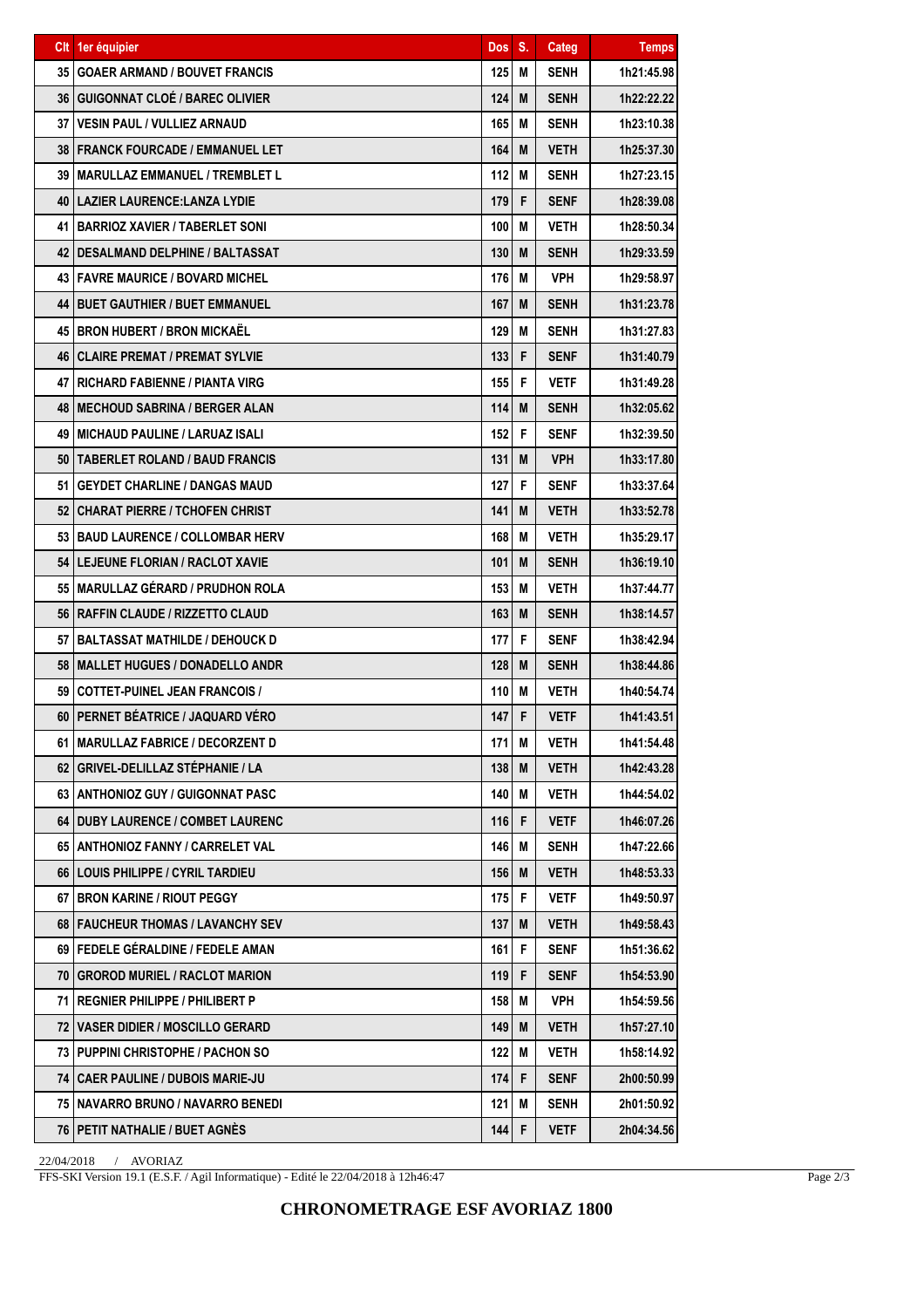|    | CIt 1er équipier                           | <b>Dos</b> | S. | Categ       | <b>Temps</b> |
|----|--------------------------------------------|------------|----|-------------|--------------|
|    | <b>35   GOAER ARMAND / BOUVET FRANCIS</b>  | 125        | M  | SENH        | 1h21:45.98   |
|    | <b>36 GUIGONNAT CLOÉ / BAREC OLIVIER</b>   | 124        | M  | <b>SENH</b> | 1h22:22.22   |
|    | <b>37   VESIN PAUL / VULLIEZ ARNAUD</b>    | 165        | M  | <b>SENH</b> | 1h23:10.38   |
|    | 38 FRANCK FOURCADE / EMMANUEL LET          | 164        | M  | <b>VETH</b> | 1h25:37.30   |
| 39 | <b>IMARULLAZ EMMANUEL / TREMBLET L</b>     | 112        | M  | SENH        | 1h27:23.15   |
|    | 40   LAZIER LAURENCE: LANZA LYDIE          | 179        | F  | <b>SENF</b> | 1h28:39.08   |
|    | <b>41 BARRIOZ XAVIER / TABERLET SONI</b>   | 100        | M  | <b>VETH</b> | 1h28:50.34   |
|    | 42   DESALMAND DELPHINE / BALTASSAT        | 130        | M  | <b>SENH</b> | 1h29:33.59   |
|    | <b>43   FAVRE MAURICE / BOVARD MICHEL</b>  | 176        | M  | <b>VPH</b>  | 1h29:58.97   |
|    | <b>44   BUET GAUTHIER / BUET EMMANUEL</b>  | 167        | M  | <b>SENH</b> | 1h31:23.78   |
|    | 45 I BRON HUBERT / BRON MICKAËL            | 129        | M  | <b>SENH</b> | 1h31:27.83   |
|    | <b>46 CLAIRE PREMAT / PREMAT SYLVIE</b>    | 133        | F  | <b>SENF</b> | 1h31:40.79   |
|    | <b>47 I RICHARD FABIENNE / PIANTA VIRG</b> | 155        | F  | <b>VETF</b> | 1h31:49.28   |
|    | <b>48 IMECHOUD SABRINA / BERGER ALAN</b>   | 114        | M  | <b>SENH</b> | 1h32:05.62   |
|    | 49 MICHAUD PAULINE / LARUAZ ISALI          | 152        | F  | <b>SENF</b> | 1h32:39.50   |
|    | 50   TABERLET ROLAND / BAUD FRANCIS        | 131        | M  | <b>VPH</b>  | 1h33:17.80   |
| 51 | <b>GEYDET CHARLINE / DANGAS MAUD</b>       | 127        | F  | <b>SENF</b> | 1h33:37.64   |
|    | 52 CHARAT PIERRE / TCHOFEN CHRIST          | 141        | M  | VETH        | 1h33:52.78   |
|    | 53 BAUD LAURENCE / COLLOMBAR HERV          | 168        | M  | <b>VETH</b> | 1h35:29.17   |
|    | 54   LEJEUNE FLORIAN / RACLOT XAVIE        | 101        | M  | <b>SENH</b> | 1h36:19.10   |
|    | 55   MARULLAZ GÉRARD / PRUDHON ROLA        | 153        | M  | <b>VETH</b> | 1h37:44.77   |
|    | 56   RAFFIN CLAUDE / RIZZETTO CLAUD        | 163        | M  | <b>SENH</b> | 1h38:14.57   |
|    | 57 I BALTASSAT MATHILDE / DEHOUCK D        | 177        | F  | <b>SENF</b> | 1h38:42.94   |
|    | 58   MALLET HUGUES / DONADELLO ANDR        | 128        | M  | <b>SENH</b> | 1h38:44.86   |
| 59 | <b>COTTET-PUINEL JEAN FRANCOIS /</b>       | 110        | M  | <b>VETH</b> | 1h40:54.74   |
| 60 | <b>PERNET BÉATRICE / JAQUARD VÉRO</b>      | 147        | F  | <b>VETF</b> | 1h41:43.51   |
|    | 61 MARULLAZ FABRICE / DECORZENT D          | 171        | M  | <b>VETH</b> | 1h41:54.48   |
|    | 62   GRIVEL-DELILLAZ STÉPHANIE / LA        | 138        | M  | <b>VETH</b> | 1h42:43.28   |
|    | 63 ANTHONIOZ GUY / GUIGONNAT PASC          | 140        | M  | <b>VETH</b> | 1h44:54.02   |
|    | 64 DUBY LAURENCE / COMBET LAURENC          | 116        | F  | <b>VETF</b> | 1h46:07.26   |
|    | 65   ANTHONIOZ FANNY / CARRELET VAL        | 146        | M  | SENH        | 1h47:22.66   |
|    | 66   LOUIS PHILIPPE / CYRIL TARDIEU        | 156        | M  | <b>VETH</b> | 1h48:53.33   |
|    | 67 BRON KARINE / RIOUT PEGGY               | 175        | F  | <b>VETF</b> | 1h49:50.97   |
|    | 68 FAUCHEUR THOMAS / LAVANCHY SEV          | 137        | M  | <b>VETH</b> | 1h49:58.43   |
|    | 69   FEDELE GÉRALDINE / FEDELE AMAN        | 161        | F. | SENF        | 1h51:36.62   |
|    | 70 GROROD MURIEL / RACLOT MARION           | 119        | F  | <b>SENF</b> | 1h54:53.90   |
|    | 71 REGNIER PHILIPPE / PHILIBERT P          | 158        | M  | <b>VPH</b>  | 1h54:59.56   |
|    | 72 VASER DIDIER / MOSCILLO GERARD          | 149        | M  | <b>VETH</b> | 1h57:27.10   |
|    | 73 PUPPINI CHRISTOPHE / PACHON SO          | 122        | M  | VETH        | 1h58:14.92   |
|    | <b>74   CAER PAULINE / DUBOIS MARIE-JU</b> | 174        | F  | <b>SENF</b> | 2h00:50.99   |
|    | 75   NAVARRO BRUNO / NAVARRO BENEDI        | 121        | M  | <b>SENH</b> | 2h01:50.92   |
|    | 76   PETIT NATHALIE / BUET AGNÈS           | 144        | F  | <b>VETF</b> | 2h04:34.56   |

22/04/2018 / AVORIAZ

FFS-SKI Version 19.1 (E.S.F. / Agil Informatique) - Edité le 22/04/2018 à 12h46:47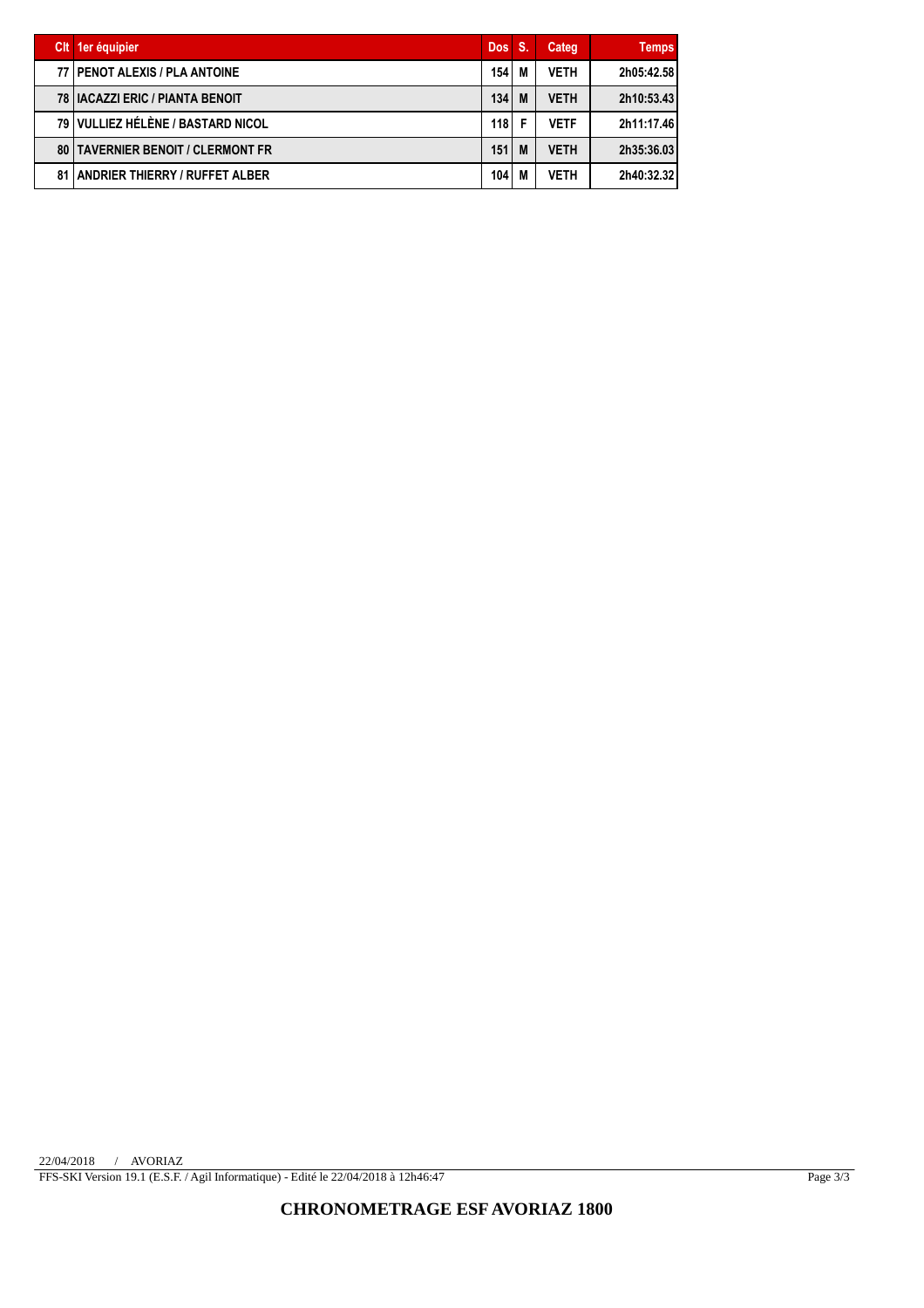|    | Cit 1er équipier                       | Dos S. |    | Categ       | <b>Temps</b> |
|----|----------------------------------------|--------|----|-------------|--------------|
|    | <b>77 I PENOT ALEXIS / PLA ANTOINE</b> | 154    | M  | <b>VETH</b> | 2h05:42.58   |
|    | 78   IACAZZI ERIC / PIANTA BENOIT      | 134    | M  | <b>VETH</b> | 2h10:53.43   |
|    | 79 VULLIEZ HÉLÈNE / BASTARD NICOL      | 118 I  | -F | <b>VETF</b> | 2h11:17.46   |
| 80 | <b>TAVERNIER BENOIT / CLERMONT FR</b>  | 151    | M  | <b>VETH</b> | 2h35:36.03   |
| 81 | <b>LANDRIER THIERRY / RUFFET ALBER</b> | 104    | M  | <b>VETH</b> | 2h40:32.32   |